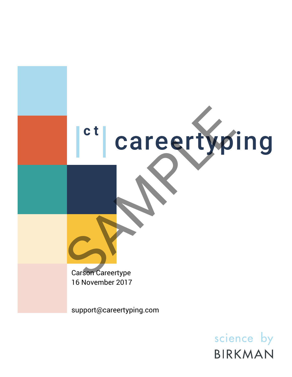

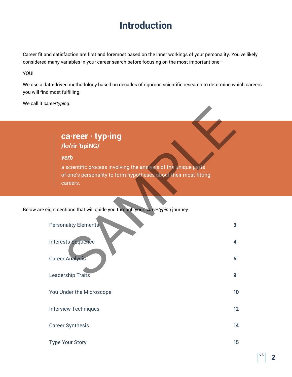# **Introduction**

Career fit and satisfaction are first and foremost based on the inner workings of your personality. You've likely considered many variables in your career search before focusing on the most important one–

YOU!

We use a data-driven methodology based on decades of rigorous scientific research to determine which careers you will find most fulfilling.

We call it *careertyping*.

## **ca·reer · typ·ing /kəˈrir ˈtīpiNG/**

Below are eight sections that will guide you through your *careertyping* journey.

| ca·reer · typ·ing<br>/ka'rir 'tīpiNG/                                                                                                                   |                         |
|---------------------------------------------------------------------------------------------------------------------------------------------------------|-------------------------|
| verb<br>a scientific process involving the analysis of the unique parts<br>of one's personality to form hypotheses about their most fitting<br>careers. |                         |
| ight sections that will guide you through your careertyping journey.                                                                                    |                         |
| <b>Personality Elements</b>                                                                                                                             | 3                       |
| Interests Sequence                                                                                                                                      | $\overline{\mathbf{4}}$ |
| <b>Career Analysis</b>                                                                                                                                  | 5                       |
| <b>Leadership Traits</b>                                                                                                                                | 9                       |
| You Under the Microscope                                                                                                                                | 10                      |
| <b>Interview Techniques</b>                                                                                                                             | 12                      |
| <b>Career Synthesis</b>                                                                                                                                 | 14                      |
| <b>Type Your Story</b>                                                                                                                                  | 15                      |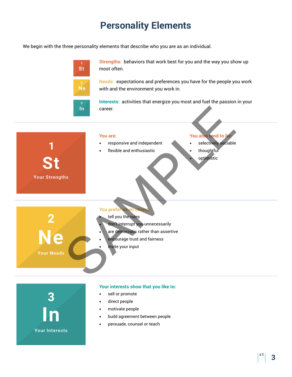# **Personality Elements**

We begin with the three personality elements that describe who you are as an individual.



- **•** sell or promote
- **•** direct people

3

**Your Interests** 

- **•** motivate people
- **•** build agreement between people
- **•** persuade, counsel or teach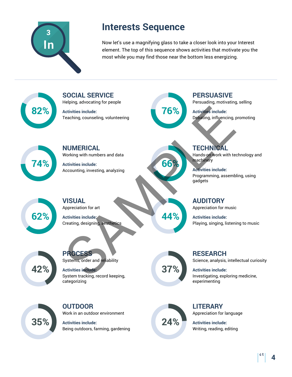

# **Interests Sequence**

Now let's use a magnifying glass to take a closer look into your Interest element. The top of this sequence shows activities that motivate you the most while you may find those near the bottom less energizing.

**82%**

Helping, advocating for people **Activities include:** Teaching, counseling, volunteering

**SOCIAL SERVICE**



**66%**

**PERSUASIVE**

Persuading, motivating, selling

**Activities include:** Debating, influencing, promoting



**NUMERICAL** Working with numbers and data

**Activities include:** Accounting, investing, analyzing



**VISUAL** Appreciation for art

**Activities include:** Creating, designing, aesthetics



**PROCESS** Systems, order and reliability

**Activities include:** System tracking, record keeping, categorizing

**37%**

**44%**

**RESEARCH** Science, analysis, intellectual curiosity

**Activities include:** Investigating, exploring medicine, experimenting



**OUTDOOR** Work in an outdoor environment

**Activities include:** Being outdoors, farming, gardening



**LITERARY** Appreciation for language

**Activities include:** Writing, reading, editing

**TECHNICAL**

Hands-on work with technology and machinery

**Activities include:** Programming, assembling, using gadgets

**AUDITORY** Appreciation for music

**Activities include:** Playing, singing, listening to music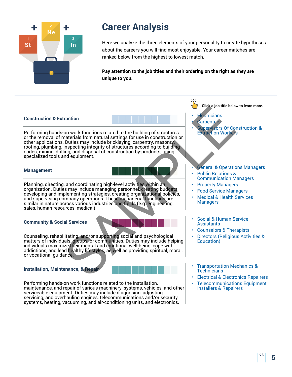

Here we analyze the three elements of your personality to create hypotheses about the careers you will find most enjoyable. Your career matches are ranked below from the highest to lowest match.

**Pay attention to the job titles and their ordering on the right as they are unique to you.**

### **Construction & Extraction**

Performing hands-on work functions related to the building of structures or the removal of materials from natural settings for use in construction or other applications. Duties may include bricklaying, carpentry, masonry, roofing, plumbing, inspecting integrity of structures according to building codes, mining, drilling, and disposal of construction by-products, using specialized tools and equipment. Christman Context Christman Context Christman Context Christman Context Christman Context Christman Context Christman Christman Christman Christman Christman Christman Christman Christman Christman Christman Christman Chri

#### **Management**

Planning, directing, and coordinating high-level activities within an organization. Duties may include managing personnel, creating budgets, developing and implementing strategies, creating organizational policies, and supervising company operations. These managerial functions are similar in nature across various industries and fields (e.g. engineering, sales, human resources, medical).

### **Community & Social Services**

Counseling, rehabilitating, and/or supporting social and psychological matters of individuals, groups, or communities. Duties may include helping individuals maximize their mental and emotional well-being, cope with addictions, and lead healthy lifestyles, as well as providing spiritual, moral, or vocational guidance.

#### **Installation, Maintenance, & Repair**



Performing hands-on work functions related to the installation, maintenance, and repair of various machinery, systems, vehicles, and other serviceable equipment. Duties may include diagnosing, adjusting, servicing, and overhauling engines, telecommunications and/or security systems, heating, vacuuming, and air-conditioning units, and electronics.

### **Click a job title below to learn more.**

### **Electricians**

- **Carpenters**
- Supervisors Of Construction & Extraction Workers

#### **General & Operations Managers** • Public Relations &

- Communication Managers
- Property Managers
- Food Service Managers
- Medical & Health Services Managers
- Social & Human Service **Assistants**
- Counselors & Therapists
- Directors (Religious Activities & Education)
- Transportation Mechanics & **Technicians**
- [Electrical & Electronics Repairers](http://www.mynextmove.org/profile/summary/49-2094.00)
- [Telecommunications Equipment](http://www.mynextmove.org/profile/summary/49-2022.00) Installers & Repairers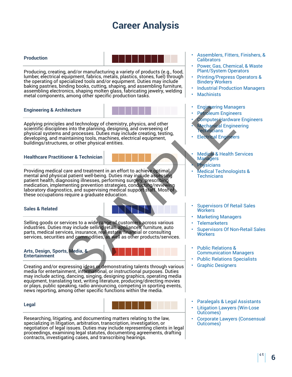#### **Production**



Producing, creating, and/or manufacturing a variety of products (e.g., food, lumber, electrical equipment, fabrics, metals, plastics, stones, fuel) through the operating of specialized tools and/or equipment. Duties may include baking pastries, binding books, cutting, shaping, and assembling furniture, assembling electronics, shaping molten glass, fabricating jewelry, welding metal components, among other specific production tasks.

### **Engineering & Architecture**

Applying principles and technology of chemistry, physics, and other scientific disciplines into the planning, designing, and overseeing of physical systems and processes. Duties may include creating, testing, developing, and maintaining tools, machines, electrical equipment, buildings/structures, or other physical entities.

#### **Healthcare Practitioner & Technician**

Providing medical care and treatment in an effort to achieve optimal mental and physical patient well-being. Duties may include assessing patient health, diagnosing illnesses, performing surgery, prescribing medication, implementing prevention strategies, conducting/reviewing laboratory diagnostics, and supervising medical support staff. Most of these occupations require a graduate education. itecture<br>
Sand technology of chemistry, physics, and other<br>
sand technology of chemistry, physics, and other<br>
sand processes. Dure Hardway<br>
Sampling tools. mechines, electrical equipment,<br>
ses, or other physical entities.<br>

### **Sales & Related**

Selling goods or services to a wide range of customers across various industries. Duties may include selling retail, appliances, furniture, auto parts, medical services, insurance, real estate, financial or consulting services, securities and commodities, as well as other products/services.



Creating and/or expressing ideas or demonstrating talents through various media for entertainment, informational, or instructional purposes. Duties may include acting, dancing, singing, designing graphics, operating media equipment, translating text, writing literature, producing/directing movies or plays, public speaking, radio announcing, competing in sporting events, news reporting, among other specific functions within the media.

#### **Legal**



Researching, litigating, and documenting matters relating to the law, specializing in litigation, arbitration, transcription, investigation, or negotiation of legal issues. Duties may include representing clients in legal proceedings, examining legal statutes, documenting agreements, drafting contracts, investigating cases, and transcribing hearings.

- [Assemblers, Fitters, Finishers, &](http://www.mynextmove.org/profile/summary/51-2092.00) **Calibrators**
- [Power, Gas, Chemical, & Waste](http://www.mynextmove.org/profile/summary/51-8013.00) Plant/System Operators
- [Printing/Prepress Operators &](http://www.mynextmove.org/profile/summary/51-5111.00) Bindery Workers
- [Industrial Production Managers](http://www.mynextmove.org/profile/summary/11-3051.00)
- **Machinists**
- [Engineering Managers](http://www.mynextmove.org/profile/summary/11-9041.00)
- Petroleum Engineers
- **Computer Hardware Engineers**
- **Mechanical Engineering Technicians**
- Electrical Engineers
- Medical & Health Services **Managers**
- **Physicians**
- Medical Technologists & **Technicians**
- Supervisors Of Retail Sales **Workers**
- Marketing Managers
- **Telemarketers**
- Supervisors Of Non-Retail Sales **Workers**
- Public Relations & Communication Managers
- [Public Relations Specialists](http://www.mynextmove.org/profile/summary/27-3031.00)
- Graphic Designers
- [Paralegals & Legal Assistants](http://www.mynextmove.org/profile/summary/23-2011.00)
- **Litigation Lawyers (Win-Lose** Outcomes)
- [Corporate Lawyers \(Consensual](http://www.mynextmove.org/profile/summary/23-1011.00) Outcomes)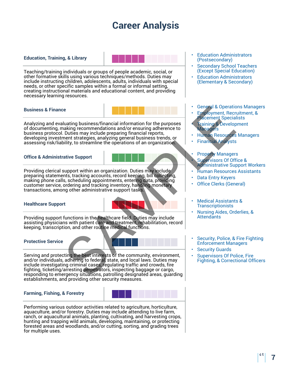#### **Education, Training, & Library**



Teaching/training individuals or groups of people academic, social, or other formative skills using various techniques/methods. Duties may include instructing children, adolescents, adults, individuals with special needs, or other specific samples within a formal or informal setting, creating instructional materials and educational content, and providing necessary learning resources.

#### **Business & Finance**

Analyzing and evaluating business/financial information for the purposes of documenting, making recommendations and/or ensuring adherence to business protocol. Duties may include preparing financial reports, developing investment strategies, analyzing general business trends, or assessing risk/liability, to streamline the operations of an organization. Luating business/financial information for the purposes<br>
luating recommendations and/or ensuring adherence to<br>
Duties may include preparing financial reports,<br>
managers and yield persions of an organization<br>
support within

#### **Office & Administrative Support**

Providing clerical support within an organization. Duties may include preparing statements, tracking accounts, record keeping, bill collecting, making phone calls, scheduling appointments, entering data, providing customer service, ordering and tracking inventory, handling monetary transactions, among other administrative support tasks.

### **Healthcare Support**

Providing support functions in the healthcare field. Duties may include assisting physicians with patient care and treatment, rehabilitation, record keeping, transcription, and other routine medical functions.

#### **Protective Service**



and/or individuals, adhering to federal, state, and local laws. Duties may include investigating criminal cases, regulating traffic and crowds, fire fighting, ticketing/arresting perpetrators, inspecting baggage or cargo, responding to emergency situations, patrolling designated areas, guarding establishments, and providing other security measures.

#### **Farming, Fishing, & Forestry**



Performing various outdoor activities related to agriculture, horticulture, aquaculture, and/or forestry. Duties may include attending to live farm, ranch, or aquacultural animals, planting, cultivating, and harvesting crops, hunting and trapping wild animals, developing, maintaining, or protecting forested areas and woodlands, and/or cutting, sorting, and grading trees for multiple uses.

- **Education Administrators** (Postsecondary)
- **Secondary School Teachers** (Except Special Education)
- [Education Administrators](http://www.mynextmove.org/profile/summary/11-9032.00) (Elementary & Secondary)
- General & Operations Managers
- Employment, Recruitment, & Placement Specialists
- Training & Development **Managers**
- [Human Resources Managers](http://www.mynextmove.org/profile/summary/11-3121.00)
- Financial Analysts

#### **Property Managers**

- Supervisors Of Office & Administrative Support Workers
- [Human Resources Assistants](http://www.mynextmove.org/profile/summary/43-4161.00)
- **Data Entry Keyers**
- Office Clerks (General)
- Medical Assistants & **Transcriptionists**
- Nursing Aides, Orderlies, & **Attendants**
- Security, Police, & Fire Fighting Enforcement Managers
- **Security Guards**
- Supervisors Of Police, Fire Fighting, & Correctional Officers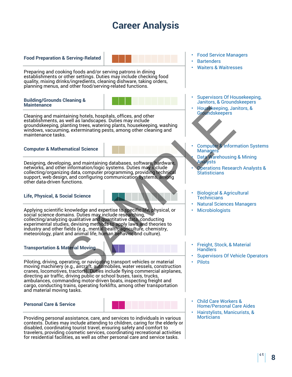**Food Preparation & Serving-Related**

Preparing and cooking foods and/or serving patrons in dining establishments or other settings. Duties may include checking food quality, mixing drinks/ingredients, cleaning dishware, taking orders, planning menus, and other food/serving-related functions.

#### **Building/Grounds Cleaning & Maintenance**



Cleaning and maintaining hotels, hospitals, offices, and other establishments, as well as landscapes. Duties may include groundskeeping, planting trees, watering plants, housekeeping, washing windows, vacuuming, exterminating pests, among other cleaning and maintenance tasks.

**Computer & Mathematical Science**

Designing, developing, and maintaining databases, software, hardware, networks, and other information/logic systems. Duties may include collecting/organizing data, computer programming, providing technical support, web design, and configuring communication systems, among other data-driven functions.

### **Life, Physical, & Social Science**

Applying scientific knowledge and expertise to specific life, physical, or social science domains. Duties may include researching, collecting/analyzing qualitative and quantitative data, conducting experimental studies, devising methods to apply laws and theories to industry and other fields (e.g., mental health, agriculture, chemistry, meteorology, plant and animal life, human behavior and culture). SAM[P](http://www.mynextmove.org/profile/summary/15-1199.07)[L](http://www.mynextmove.org/profile/summary/11-3021.00)[E](http://www.mynextmove.org/profile/summary/37-2012.00)

### **Transportation & Material Moving**



Piloting, driving, operating, or navigating transport vehicles or material moving machinery (e.g., aircraft, automobiles, water vessels, construction cranes, locomotives, tractors). Duties include flying commercial airplanes, directing air traffic, driving public or school buses, taxis, trucks, ambulances, commanding motor-driven boats, inspecting freight and cargo, conducting trains, operating forklifts, among other transportation and material moving tasks.

### **Personal Care & Service**



Providing personal assistance, care, and services to individuals in various contexts. Duties may include attending to children, caring for the elderly or disabled, coordinating tourist travel, ensuring safety and comfort to travelers, providing cosmetic services, coordinating recreational activities for residential facilities, as well as other personal care and service tasks.

- [Food Service Managers](http://www.mynextmove.org/profile/summary/11-9051.00)
- **Bartenders**
- [Waiters & Waitresses](http://www.mynextmove.org/profile/summary/35-3031.00)
- [Supervisors Of Housekeeping,](http://www.mynextmove.org/profile/summary/37-1011.00) Janitors, & Groundskeepers
- Housekeeping, Janitors, & **Groundskeepers**
- Computer & Information Systems Managers
	- Data Warehousing & Mining Analysts
	- Operations Research Analysts & **Statisticians**
- Biological & Agricultural **Technicians**
- [Natural Sciences Managers](http://www.mynextmove.org/profile/summary/11-9121.00)
- **Microbiologists**
- Freight, Stock, & Material **Handlers**
- [Supervisors Of Vehicle Operators](http://www.mynextmove.org/profile/summary/53-1031.00)
- Pilots
- [Child Care Workers &](http://www.mynextmove.org/profile/summary/39-9011.00) Home/Personal Care Aides
- [Hairstylists, Manicurists, &](http://www.mynextmove.org/profile/summary/39-5012.00) **Morticians**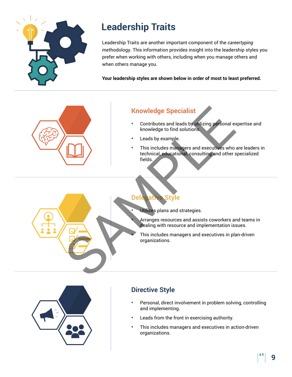

# **Leadership Traits**

Leadership Traits are another important component of the *careertyping* methodology. This information provides insight into the leadership styles you prefer when working with others, including when you manage others and when others manage you.

**Your leadership styles are shown below in order of most to least preferred.**



### **Knowledge Specialist**

- **•** Contributes and leads by utilizing personal expertise and knowledge to find solutions.
- **•** Leads by example.
- **•** This includes managers and executives who are leaders in technical, educational, consulting and other specialized fields.

### **Delegative Style**

**•** Utilizes plans and strategies.

**•** Arranges resources and assists coworkers and teams in dealing with resource and implementation issues.

**•** This includes managers and executives in plan-driven organizations.



## **Directive Style**

- **•** Personal, direct involvement in problem solving, controlling and implementing.
- **•** Leads from the front in exercising authority.
- **•** This includes managers and executives in action-driven organizations.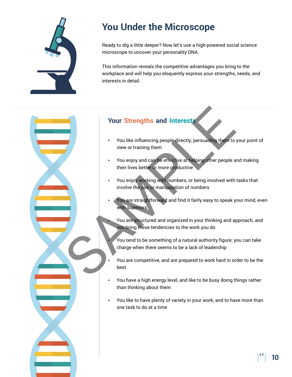

# **You Under the Microscope**

Ready to dig a little deeper? Now let's use a high-powered social science microscope to uncover your personality DNA.

This information reveals the competitive advantages you bring to the workplace and will help you eloquently express your strengths, needs, and interests in detail.

### **Your Strengths and Interests**

- **•** You like influencing people directly, persuading them to your point of view or training them You like influencing people directly, persuading them to<br>view or training them<br>view or training them<br>vou enjoy and can be effective at teleping other people a<br>their lives better or more productive<br>vou enjoy working with nu
	- **•** You enjoy and can be effective at helping other people and making their lives better or more productive
	- **•** You enjoy working with numbers, or being involved with tasks that involve the use or manipulation of numbers
	- **•** You are straightforward and find it fairly easy to speak your mind, even with superiors
		- **•** You are structured and organized in your thinking and approach, and you bring these tendencies to the work you do
		- **•** You tend to be something of a natural authority figure; you can take charge when there seems to be a lack of leadership
	- **•** You are competitive, and are prepared to work hard in order to be the best
	- **•** You have a high energy level, and like to be busy doing things rather than thinking about them
	- **•** You like to have plenty of variety in your work, and to have more than one task to do at a time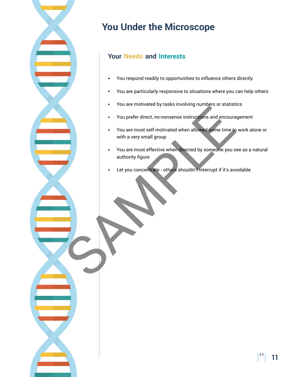# **You Under the Microscope**

## **Your Needs and Interests**

- **•** You respond readily to opportunities to influence others directly
- **•** You are particularly responsive to situations where you can help others
- **•** You are motivated by tasks involving numbers or statistics
- **•** You prefer direct, no-nonsense instructions and encouragement
- **•** You are most self-motivated when allowed some time to work alone or with a very small group
- **•** You are most effective when directed by someone you see as a natural authority figure State instantiers, activitations, and encourance of the state of the state of the state of the state of the state of the state of the state of the state of the state of the state of the state of the state of the state of t
	- Let you concentrate others shouldn't interrupt if it's avoidable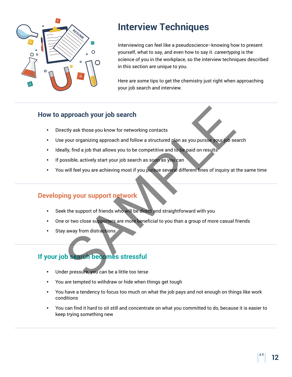

## **Interview Techniques**

Interviewing can feel like a pseudoscience–knowing how to present yourself, what to say, and even how to say it. *careertyping* is the science of you in the workplace, so the interview techniques described in this section are unique to you.

Here are some tips to get the chemistry just right when approaching your job search and interview.

### **How to approach your job search**

- **•** Directly ask those you know for networking contacts
- **•** Use your organizing approach and follow a structured plan as you pursue your job search provided your job search<br>
etty ask those you know for networking contacts<br>
your organizing approach and follow a structured plan as you pursue your,<br>
show that allows you to be competitive and to be paid on results<br>
sosibl
- **•** Ideally, find a job that allows you to be competitive and to be paid on results
- **•** If possible, actively start your job search as soon as you can
- **•** You will feel you are achieving most if you pursue several different lines of inquiry at the same time

### **Developing your support network**

- **•** Seek the support of friends who will be direct and straightforward with you
- **•** One or two close supporters are more beneficial to you than a group of more casual friends
- **•** Stay away from distractions

## **If your job search becomes stressful**

- **•** Under pressure, you can be a little too terse
- **•** You are tempted to withdraw or hide when things get tough
- **•** You have a tendency to focus too much on what the job pays and not enough on things like work conditions
- **•** You can find it hard to sit still and concentrate on what you committed to do, because it is easier to keep trying something new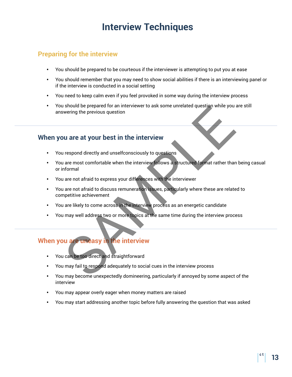## **Interview Techniques**

### **Preparing for the interview**

- **•** You should be prepared to be courteous if the interviewer is attempting to put you at ease
- **•** You should remember that you may need to show social abilities if there is an interviewing panel or if the interview is conducted in a social setting
- **•** You need to keep calm even if you feel provoked in some way during the interview process
- **•** You should be prepared for an interviewer to ask some unrelated question while you are still answering the previous question

### **When you are at your best in the interview**

- **•** You respond directly and unselfconsciously to questions
- **•** You are most comfortable when the interview follows a structured format rather than being casual or informal
- **•** You are not afraid to express your differences with the interviewer
- **•** You are not afraid to discuss remuneration issues, particularly where these are related to competitive achievement Is should be prepared for an interviewer to ask some unrelated question while you<br>wering the previous question<br>are most comfortable when the interview<br>respond directly and unselfconsciously to questions<br>are most comfortabl
- **•** You are likely to come across in the interview process as an energetic candidate
- **•** You may well address two or more topics at the same time during the interview process

### **When you are uneasy in the interview**

- **•** You can be too direct and straightforward
- **•** You may fail to respond adequately to social cues in the interview process
- **•** You may become unexpectedly domineering, particularly if annoyed by some aspect of the interview
- **•** You may appear overly eager when money matters are raised
- **•** You may start addressing another topic before fully answering the question that was asked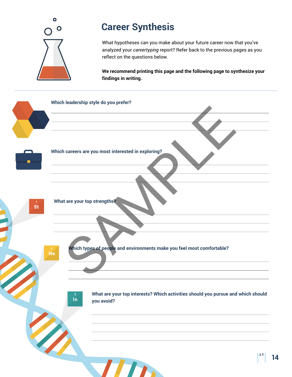

## **Career Synthesis**

What hypotheses can you make about your future career now that you've analyzed your *careertyping* report? Refer back to the previous pages as you reflect on the questions below.

**We recommend printing this page and the following page to synthesize your findings in writing.**